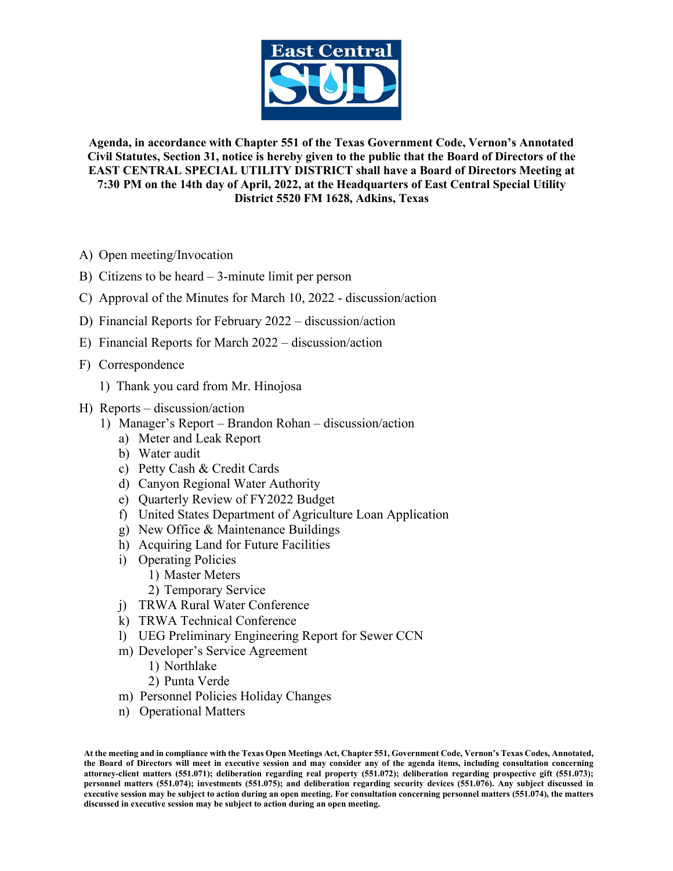

**Agenda, in accordance with Chapter 551 of the Texas Government Code, Vernon's Annotated Civil Statutes, Section 31, notice is hereby given to the public that the Board of Directors of the EAST CENTRAL SPECIAL UTILITY DISTRICT shall have a Board of Directors Meeting at 7:30 PM on the 14th day of April, 2022, at the Headquarters of East Central Special Utility District 5520 FM 1628, Adkins, Texas**

- A) Open meeting/Invocation
- B) Citizens to be heard 3-minute limit per person
- C) Approval of the Minutes for March 10, 2022 discussion/action
- D) Financial Reports for February 2022 discussion/action
- E) Financial Reports for March 2022 discussion/action
- F) Correspondence
	- 1) Thank you card from Mr. Hinojosa
- H) Reports discussion/action
	- 1) Manager's Report Brandon Rohan discussion/action
		- a) Meter and Leak Report
		- b) Water audit
		- c) Petty Cash & Credit Cards
		- d) Canyon Regional Water Authority
		- e) Quarterly Review of FY2022 Budget
		- f) United States Department of Agriculture Loan Application
		- g) New Office & Maintenance Buildings
		- h) Acquiring Land for Future Facilities
		- i) Operating Policies
			- 1) Master Meters
			- 2) Temporary Service
		- j) TRWA Rural Water Conference
		- k) TRWA Technical Conference
		- l) UEG Preliminary Engineering Report for Sewer CCN
		- m) Developer's Service Agreement
			- 1) Northlake
			- 2) Punta Verde
		- m) Personnel Policies Holiday Changes
		- n) Operational Matters

**At the meeting and in compliance with the Texas Open Meetings Act, Chapter 551, Government Code, Vernon's Texas Codes, Annotated, the Board of Directors will meet in executive session and may consider any of the agenda items, including consultation concerning attorney-client matters (551.071); deliberation regarding real property (551.072); deliberation regarding prospective gift (551.073); personnel matters (551.074); investments (551.075); and deliberation regarding security devices (551.076). Any subject discussed in executive session may be subject to action during an open meeting. For consultation concerning personnel matters (551.074), the matters discussed in executive session may be subject to action during an open meeting.**